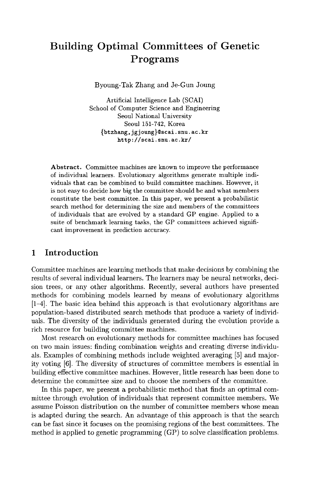# Building Optimal Committees of Genetic Programs

Byoung-Tak Zhang and Je-Gun Joung

Artificial Intelligence Lab (SCAI) School of Computer Science and Engineering Seoul National University Seoul 151-742, Korea {btzhang, jg joung}@scai.snu.ac.kr http://scai.snu.ac.kr/

Abstract. Committee machines are known to improve the performance of individual learners. Evolutionary algorithms generate multiple individuals that can be combined to build committee machines. However, it is not easy to decide how big the committee should be and what members constitute the best committee. In this paper, we present a probabilistic search method for determining the size and members of the committees of individuals that are evolved by a standard GP engine. Applied to a suite of benchmark learning tasks, the GP committees achieved significant improvement in prediction accuracy.

# 1 Introduction

Committee machines are learning methods that make decisions by combining the results of several individual learners. The learners may be neural networks, decision trees, or any other algorithms. Recently, several authors have presented methods for combining models learned by means of evolutionary algorithms  $[1-4]$ . The basic idea behind this approach is that evolutionary algorithms are population-based distributed search methods that produce a variety of individuals. The diversity of the individuals generated during the evolution provide a rich resource for building committee machines.

Most research on evolutionary methods for committee machines has focused on two main issues: finding combination weights and creating diverse individuals. Examples of combining methods include weighted averaging [5] and majority voting [6]. The diversity of structures of committee members is essential in building effective committee machines. However, little research has been done to determine the committee size and to choose the members of the committee.

In this paper, we present a probabilistic method that finds an optimal committee through evolution of individuals that represent committee members. We assume Poisson distribution on the number of committee members whose mean is adapted during the search. An advantage of this approach is that the search can be fast since it focuses on the promising regions of the best committees. The method is applied to genetic programming (GP) to solve classification problems.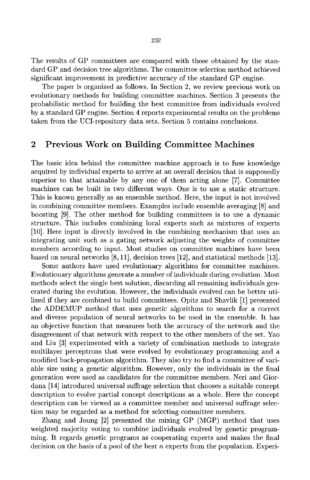The results of GP committees are compared with those obtained by the standard GP and decision tree algorithms. The committee selection method achieved significant improvement in predictive accuracy of the standard GP engine.

The paper is organized as follows. In Section 2, we review previous work on evolutionary methods for building committee machines. Section 3 presents the probabilistic method for building the best committee from individuals evolved by a standard GP engine. Section 4 reports experimental results on the problems taken from the UCI-repository data sets. Section 5 contains conclusions.

# 2 Previous Work on Building Committee Machines

The basic idea behind the committee machine approach is to fuse knowledge acquired by individual experts to arrive at an overall decision that is supposedly superior to that attainable by any one of them acting alone [7]. Committee machines can be built in two different ways. One is to use a static structure. This is known generally as an ensemble method. Here, the input is not involved in combining committee members. Examples include ensemble averaging [8] and boosting [9]. The other method for building committees is to use a dynamic structure. This includes combining local experts such as mixtures of experts [10]. Here input is directly involved in the combining mechanism that uses an integrating unit such as a gating network adjusting the weights of committee members according to input. Most studies on committee machines have been based on neural networks [8,11], decision trees [12], and statistical methods [13].

Some authors have used evolutionary algorithms for committee machines. Evolutionary algorithms generate a number of individuals during evolution. Most methods select the single best solution, discarding all remaining individuals generated during the evolution. However, the individuals evolved can be better utilized if they are combined to build committees. Opitz and Shavlik [1] presented the ADDEMUP method that uses genetic algorithms to search for a correct and diverse population of neural networks to be used in the ensemble. It has an objective function that measures both the accuracy of the network and the disagreement of that network with respect to the other members of the set. Yao and Liu [3] experimented with a variety of combination methods to integrate multilayer perceptrons that were evolved by evolutionary programming and a modified back-propagation algorithm. They also try to find a committee of variable size using a genetic algorithm. However, only the individuals in the final generation were used as candidates for the committee members. Neri and Giordana [14] introduced universal suffrage selection that chooses a suitable concept description to evolve partial concept descriptions as a whole. Here the concept description can be viewed as a committee member and universal suffrage selection may be regarded as a method for selecting committee members.

Zhang and Joung [2] presented the mixing GP (MGP) method that uses weighted majority voting to combine individuals evolved by genetic programming. It regards genetic programs as cooperating experts and makes the final decision on the basis of a pool of the best *n* experts from the population. Experi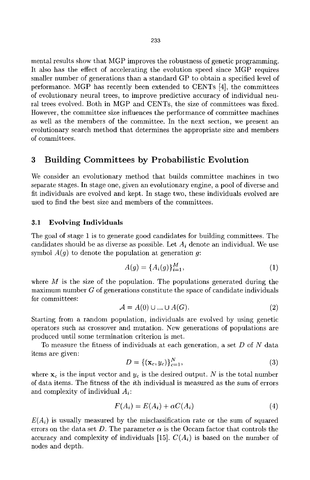mental results show that MGP improves the robustness of genetic programming. It also has the effect of accelerating the evolution speed since MGP requires smaller number of generations than a standard GP to obtain a specified level of performance. MGP has recently been extended to CENTs [4], the committees of evolutionary neural trees, to improve predictive accuracy of individual neural trees evolved. Both in MGP and CENTs, the size of committees was fixed. However, the committee size influences the performance of committee machines as well as the members of the committee. In the next section, we present an evolutionary search method that determines the appropriate size and members of committees.

# 3 Building Committees by Probabilistic Evolution

We consider an evolutionary method that builds committee machines in two separate stages. In stage one, given an evolutionary engine, a pool of diverse and fit individuals are evolved and kept. In stage two, these individuals evolved are used to find the best size and members of the committees.

## **3.1 Evolving Individuals**

The goal of stage 1 is to generate good candidates for building committees. The candidates should be as diverse as possible. Let *Ai* denote an individual. We use symbol *A{g)* to denote the population at generation *g:* 

$$
A(g) = \{A_i(g)\}_{i=1}^M,
$$
\n(1)

where *M* is the size of the population. The populations generated during the maximum number *G* of generations constitute the space of candidate individuals for committees:

$$
\mathcal{A} = A(0) \cup \ldots \cup A(G). \tag{2}
$$

Starting from a random population, individuals are evolved by using genetic operators such as crossover and mutation. New generations of populations are produced until some termination criterion is met.

To measure the fitness of individuals at each generation, a set *D oi N* data items are given:

$$
D = \{(\mathbf{x}_c, y_c)\}_{c=1}^N,\tag{3}
$$

where  $\mathbf{x}_c$  is the input vector and  $y_c$  is the desired output. N is the total number of data items. The fitness of the *ith* individual is measured as the sum of errors and complexity of individual *Ai*:

$$
F(A_i) = E(A_i) + \alpha C(A_i)
$$
\n<sup>(4)</sup>

 $E(A_i)$  is usually measured by the misclassification rate or the sum of squared errors on the data set D. The parameter  $\alpha$  is the Occam factor that controls the accuracy and complexity of individuals [15].  $C(A_i)$  is based on the number of nodes and depth.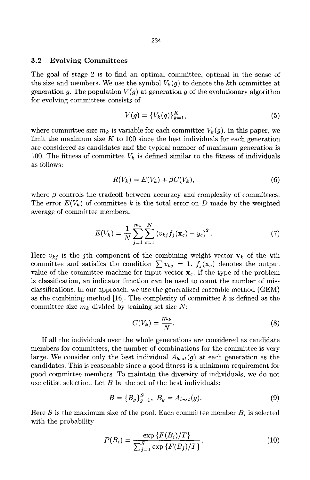### **3.2 Evolving Committees**

The goal of stage 2 is to find an optimal committee, optimal in the sense of the size and members. We use the symbol  $V_k(q)$  to denote the kth committee at generation g. The population  $V(g)$  at generation g of the evolutionary algorithm for evolving committees consists of

$$
V(g) = \{V_k(g)\}_{k=1}^K,\tag{5}
$$

where committee size  $m_k$  is variable for each committee  $V_k(g)$ . In this paper, we limit the maximum size K to 100 since the best individuals for each generation are considered as candidates and the typical number of maximum generation is 100. The fitness of committee  $V_k$  is defined similar to the fitness of individuals as follows:

$$
R(V_k) = E(V_k) + \beta C(V_k),\tag{6}
$$

where  $\beta$  controls the tradeoff between accuracy and complexity of committees. The error  $E(V_k)$  of committee k is the total error on D made by the weighted average of committee members.

$$
E(V_k) = \frac{1}{N} \sum_{j=1}^{m_k} \sum_{c=1}^{N} (v_{kj} f_j(\mathbf{x}_c) - y_c)^2.
$$
 (7)

Here  $v_{kj}$  is the j<sup>th</sup> component of the combining weight vector  $v_k$  of the k<sup>th</sup> committee and satisfies the condition  $\sum v_{kj} = 1$ .  $f_j(x_c)$  denotes the output value of the committee machine for input vector  $x_c$ . If the type of the problem is classification, an indicator function can be used to count the number of misclassifications. In our approach, we use the generalized ensemble method (GEM) as the combining method [16]. The complexity of committee *k* is defined as the committee size  $m_k$  divided by training set size  $N$ :

$$
C(V_k) = \frac{m_k}{N}.\tag{8}
$$

If all the individuals over the whole generations are considered as candidate members for committees, the number of combinations for the committee is very large. We consider only the best individual  $A_{best}(g)$  at each generation as the candidates. This is reasonable since a good fitness is a minimum requirement for good committee members. To maintain the diversity of individuals, we do not use elitist selection. Let *B* be the set of the best individuals:

$$
B = \{B_g\}_{g=1}^S, \ B_g = A_{best}(g). \tag{9}
$$

Here *S* is the maximum size of the pool. Each committee member *Bi* is selected with the probability

$$
P(B_i) = \frac{\exp\{F(B_i)/T\}}{\sum_{j=1}^{S} \exp\{F(B_j)/T\}},
$$
\n(10)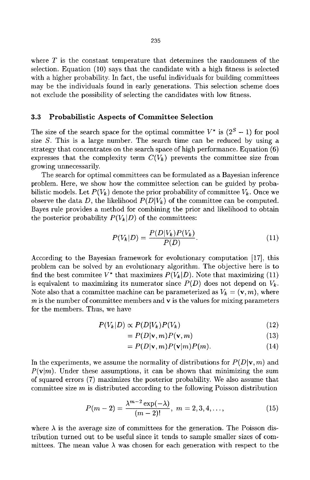where *T* is the constant temperature that determines the randomness of the selection. Equation (10) says that the candidate with a high fitness is selected with a higher probability. In fact, the useful individuals for building committees may be the individuals found in early generations. This selection scheme does not exclude the possibility of selecting the candidates with low fitness.

#### **3.3 Probabilistic Aspects of Committee Selection**

The size of the search space for the optimal committee  $V^*$  is  $(2^S - 1)$  for pool size *S.* This is a large number. The search time can be reduced by using a strategy that concentrates on the search space of high performance. Equation (6) expresses that the complexity term  $C(V_k)$  prevents the committee size from growing unnecessarily.

The search for optimal committees can be formulated as a Bayesian inference problem. Here, we show how the committee selection can be guided by probabilistic models. Let  $P(V_k)$  denote the prior probability of committee  $V_k$ . Once we observe the data D, the likelihood  $P(D|V_k)$  of the committee can be computed. Bayes rule provides a method for combining the prior and likelihood to obtain the posterior probability  $P(V_k|D)$  of the committees:

$$
P(V_k|D) = \frac{P(D|V_k)P(V_k)}{P(D)}.
$$
\n(11)

According to the Bayesian framework for evolutionary computation [17], this problem can be solved by an evolutionary algorithm. The objective here is to find the best commitee  $V^*$  that maximizes  $P(V_k|D)$ . Note that maximizing (11) is equivalent to maximizing its numerator since  $P(D)$  does not depend on  $V_k$ . Note also that a committee machine can be parameterized as  $V_k = (\mathbf{v}, m)$ , where  $m$  is the number of committee members and  $\bf{v}$  is the values for mixing parameters for the members. Thus, we have

$$
P(V_k|D) \propto P(D|V_k)P(V_k)
$$
\n(12)

$$
= P(D|\mathbf{v}, m)P(\mathbf{v}, m) \tag{13}
$$

$$
= P(D|\mathbf{v}, m)P(\mathbf{v}|m)P(m). \tag{14}
$$

In the experiments, we assume the normality of distributions for  $P(D|\mathbf{v}, m)$  and  $P(\mathbf{v}|m)$ . Under these assumptions, it can be shown that minimizing the sum of squared errors (7) maximizes the posterior probability. We also assume that committee size  $m$  is distributed according to the following Poisson distribution

$$
P(m-2) = \frac{\lambda^{m-2} \exp(-\lambda)}{(m-2)!}, \ m = 2, 3, 4, \dots,
$$
 (15)

where  $\lambda$  is the average size of committees for the generation. The Poisson distribution turned out to be useful since it tends to sample smaller sizes of committees. The mean value  $\lambda$  was chosen for each generation with respect to the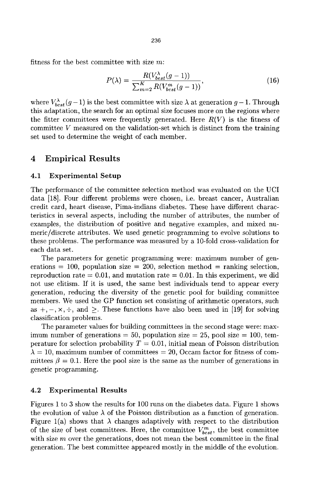fitness for the best committee with size  $m$ :

$$
P(\lambda) = \frac{R(V_{best}^{\lambda}(g-1))}{\sum_{m=2}^{K} R(V_{best}^{m}(g-1))},
$$
\n(16)

where  $V_{best}^{\lambda}(g - 1)$  is the best committee with size  $\lambda$  at generation  $g-1$ . Through this adaptation, the search for an optimal size focuses more on the regions where the fitter committees were frequently generated. Here  $R(V)$  is the fitness of committee *V* measured on the validation-set which is distinct from the training set used to determine the weight of each member.

## 4 Empirical Results

## **4.1 Experimental Setup**

The performance of the committee selection method was evaluated on the UCI data [18]. Four different problems were chosen, i.e. breast cancer, Australian credit card, heart disease, Pima-indians diabetes. These have different characteristics in several aspects, including the number of attributes, the number of examples, the distribution of positive and negative examples, and mixed numeric/discrete attributes. We used genetic programming to evolve solutions to these problems. The performance was measured by a 10-fold cross-vahdation for each data set.

The parameters for genetic programming were: maximum number of generations = 100, population size = 200, selection method = ranking selection, reproduction rate  $= 0.01$ , and mutation rate  $= 0.01$ . In this experiment, we did not use elitism. If it is used, the same best individuals tend to appear every generation, reducing the diversity of the genetic pool for building committee members. We used the GP function set consisting of arithmetic operators, such as  $+, -, \times, \div,$  and  $\geq$ . These functions have also been used in [19] for solving classification problems.

The parameter values for building committees in the second stage were: maximum number of generations  $= 50$ , population size  $= 25$ , pool size  $= 100$ , temperature for selection probability  $T = 0.01$ , initial mean of Poisson distribution  $\lambda = 10$ , maximum number of committees  $= 20$ , Occam factor for fitness of committees  $\beta = 0.1$ . Here the pool size is the same as the number of generations in genetic programming.

### **4.2 Experimental Results**

Figures 1 to 3 show the results for 100 runs on the diabetes data. Figure 1 shows the evolution of value  $\lambda$  of the Poisson distribution as a function of generation. Figure 1(a) shows that  $\lambda$  changes adaptively with respect to the distribution of the size of best committees. Here, the committee  $V_{best}^m$ , the best committee with size *m* over the generations, does not mean the best committee in the final generation. The best committee appeared mostly in the middle of the evolution.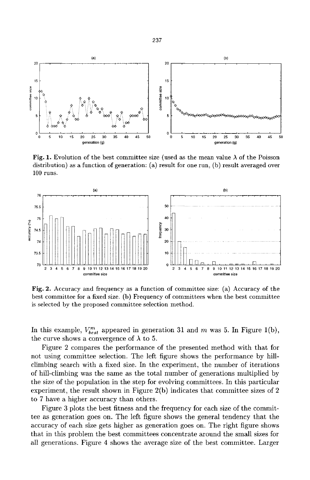

**Fig. 1.** Evolution of the best committee size (used as the mean value  $\lambda$  of the Poisson distribution) as a function of generation: (a) result for one run, (b) result averaged over 100 runs.



**Fig.** 2. Accuracy and frequency as a function of committee size: (a) Accuracy of the best committee for a fixed size, (b) Frequency of committees when the best committee is selected by the proposed committee selection method.

In this example,  $V^m_{best}$  appeared in generation 31 and *m* was 5. In Figure 1(b), the curve shows a convergence of  $\lambda$  to 5.

Figure 2 compares the performance of the presented method with that for not using committee selection. The left figure shows the performance by hillclimbing search with a fixed size. In the experiment, the number of iterations of hill-climbing was the same as the total number of generations multiplied by the size of the population in the step for evolving committees. In this particular experiment, the result shown in Figure 2(b) indicates that committee sizes of 2 to 7 have a higher accuracy than others.

Figure 3 plots the best fitness and the frequency for each size of the committee as generation goes on. The left figure shows the general tendency that the accuracy of each size gets higher as generation goes on. The right figure shows that in this problem the best committees concentrate around the small sizes for all generations. Figure 4 shows the average size of the best committee. Larger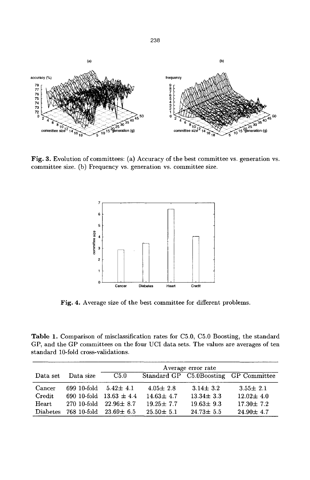

Fig. 3. Evolution of committees: (a) Accuracy of the best committee vs. generation vs. committee size, (b) Frequency vs. generation vs. committee size.



**Fig.** 4. Average size of the best committee for different problems.

Table 1. Comparison of misclassification rates for C5.0, C5.0 Boosting, the standard GP, and the GP committees on the four UCI data sets. The values are averages of ten standard 10-fold cross-validations.

|                 |             | Average error rate          |                 |                 |                                       |
|-----------------|-------------|-----------------------------|-----------------|-----------------|---------------------------------------|
| Data set        | Data size   | C5.0                        |                 |                 | Standard GP C5.0Boosting GP Committee |
| Cancer          | 699-10-fold | $5.42 \pm 4.1$              | $4.05 \pm 2.8$  | $3.14 \pm 3.2$  | $3.55 \pm 2.1$                        |
| Credit          |             | 690 10-fold 13.63 $\pm$ 4.4 | $14.63 \pm 4.7$ | $13.34 \pm 3.3$ | $12.02 \pm 4.0$                       |
| $\rm{Heart}$    |             | 270 10-fold 22.96 $\pm$ 8.7 | $19.25 \pm 7.7$ | $19.63 \pm 9.3$ | $17.30 \pm 7.2$                       |
| <b>Diabetes</b> |             | 768 10-fold 23.69 $\pm$ 6.5 | $25.50 \pm 5.1$ | $24.73 \pm 5.5$ | $24.90 \pm 4.7$                       |

238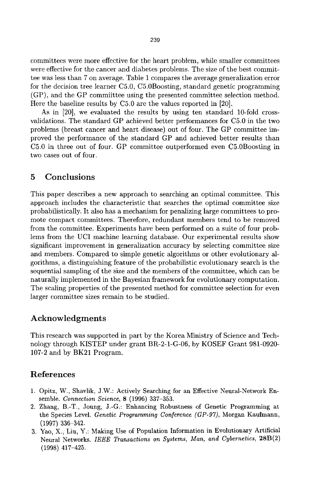committees were more effective for the heart problem, while smaller committees were effective for the cancer and diabetes problems. The size of the best committee was less than 7 on average. Table 1 compares the average generalization error for the decision tree learner C5.0, CS.OBoosting, standard genetic programming (GP), and the GP commiittee using the presented committee selection method. Here the baseline results by C5.0 are the values reported in [20].

As in [20], we evaluated the results by using ten standard IG-fold crossvalidations. The standard GP achieved better performances for 05.0 in the two problems (breast cancer and heart disease) out of four. The GP committee improved the performance of the standard GP and achieved better results than C5.0 in three out of four. GP committee outperformed even C5.0Boosting in two cases out of four.

# 5 Conclusions

This paper describes a new approach to searching an optimal committee. This approach includes the characteristic that searches the optimal committee size probabilistically. It also has a mechanism for penalizing large committees to promote compact committees. Therefore, redundant members tend to be removed from the committee. Experiments have been performed on a suite of four problems from the UCI machine learning database. Our experimental results show significant improvement in generalization accuracy by selecting committee size and members. Compared to simple genetic algorithms or other evolutionary algorithms, a distinguishing feature of the probabilistic evolutionary search is the sequential sampling of the size and the members of the committee, which can be naturally implemented in the Bayesian framework for evolutionary computation. The scaling properties of the presented method for committee selection for even larger committee sizes remain to be studied.

## Acknowledgments

This research was supported in part by the Korea Ministry of Science and Technology through KISTEP under grant BR-2-1-G-06, by KOSEF Grant 981-0920- 107-2 and by BK21 Program.

# References

- 1. Opitz, W., Shavlik, J.W.: Actively Searching for an Effective Neural-Network Ensemble. *Connection Science,* 8 (1996) 337-353.
- 2. Zhang, B.-T., Joung, J.-G.: Enhancing Robustness of Genetic Programming at the Species Level. *Genetic Programming Conference (GP-97),* Morgan Kaufmann, (1997) 336-342.
- 3. Yao, X., Liu, Y.: Making Use of Population Information in Evolutionary Artificial Neural Networks. *IEEE Transactions on Systems, Man, and Cybernetics,* 28B(2) (1998) 417-425.